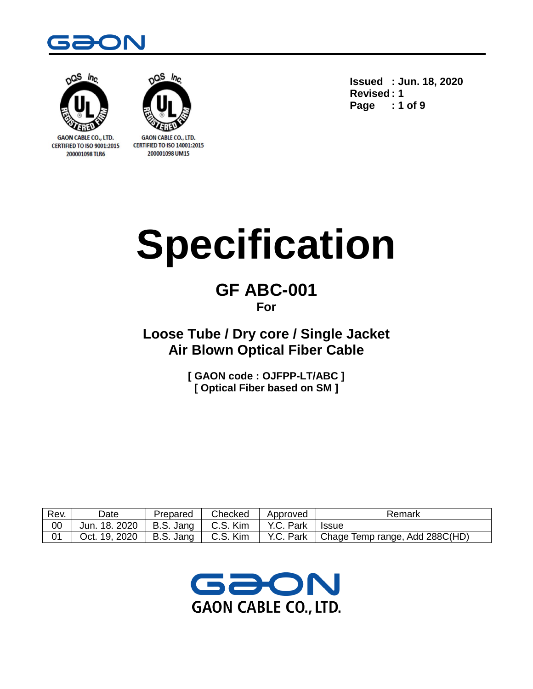



**GAON CABLE CO., LTD. CERTIFIED TO ISO 9001:2015** 200001098 TLR6



**GAON CABLE CO., LTD. CERTIFIED TO ISO 14001:2015** 200001098 UM15

**Issued : Jun. 18, 2020 Revised : 1 Page : 1 of 9**

# **Specification**

# **GF ABC-001 For**

**Loose Tube / Dry core / Single Jacket Air Blown Optical Fiber Cable**

> **[ GAON code : OJFPP-LT/ABC ] [ Optical Fiber based on SM ]**

| Rev. | Date          | Prepared  | Checked  | Approved  | Remark                         |
|------|---------------|-----------|----------|-----------|--------------------------------|
| 00   | Jun. 18. 2020 | B.S. Jang | C.S. Kim | Y.C. Park | <b>Issue</b>                   |
| 01   | Oct. 19, 2020 | B.S. Jang | C.S. Kim | Y.C. Park | Chage Temp range, Add 288C(HD) |

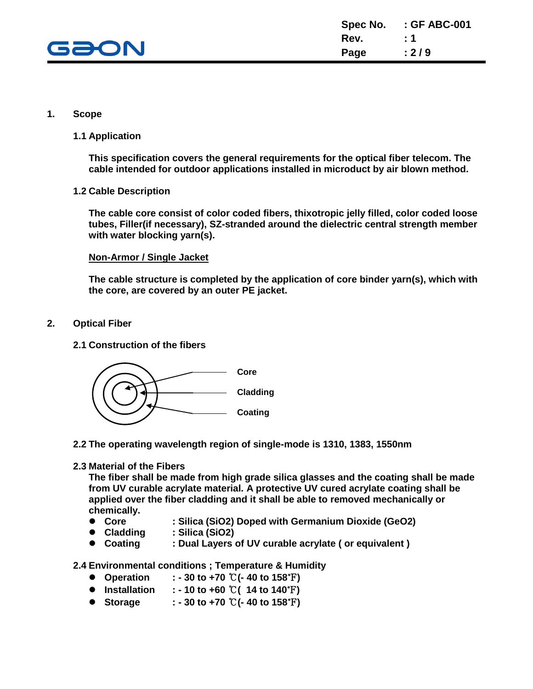

#### **1. Scope**

#### **1.1 Application**

**This specification covers the general requirements for the optical fiber telecom. The cable intended for outdoor applications installed in microduct by air blown method.**

#### **1.2 Cable Description**

**The cable core consist of color coded fibers, thixotropic jelly filled, color coded loose tubes, Filler(if necessary), SZ-stranded around the dielectric central strength member with water blocking yarn(s).**

#### **Non-Armor / Single Jacket**

**The cable structure is completed by the application of core binder yarn(s), which with the core, are covered by an outer PE jacket.**

- **2. Optical Fiber**
	- **2.1 Construction of the fibers**



**2.2 The operating wavelength region of single-mode is 1310, 1383, 1550nm**

#### **2.3 Material of the Fibers**

**The fiber shall be made from high grade silica glasses and the coating shall be made from UV curable acrylate material. A protective UV cured acrylate coating shall be applied over the fiber cladding and it shall be able to removed mechanically or chemically.**

- **Core : Silica (SiO2) Doped with Germanium Dioxide (GeO2)**
- **Cladding : Silica (SiO2)**
- **Coating : Dual Layers of UV curable acrylate ( or equivalent )**

**2.4 Environmental conditions ; Temperature & Humidity**

- **Operation : - 30 to +70** ℃**(- 40 to 158**℉**)**
- **Installation : - 10 to +60** ℃**( 14 to 140**℉**)**
- **Storage : - 30 to +70** ℃**(- 40 to 158**℉**)**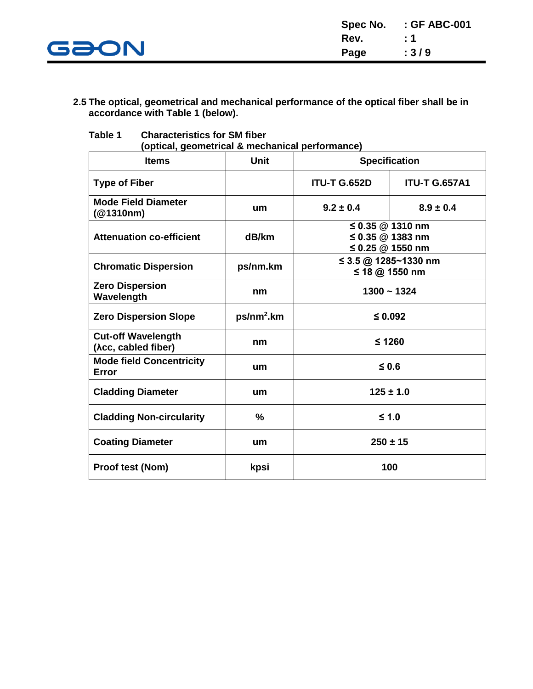

#### **2.5 The optical, geometrical and mechanical performance of the optical fiber shall be in accordance with Table 1 (below).**

| (optical, geometrical & mechanical performance)  |               |                                        |                                                                |  |  |  |  |
|--------------------------------------------------|---------------|----------------------------------------|----------------------------------------------------------------|--|--|--|--|
| <b>Items</b>                                     | <b>Unit</b>   |                                        | <b>Specification</b>                                           |  |  |  |  |
| <b>Type of Fiber</b>                             |               | <b>ITU-T G.652D</b>                    | <b>ITU-T G.657A1</b>                                           |  |  |  |  |
| <b>Mode Field Diameter</b><br>(@1310nm)          | um            | $9.2 \pm 0.4$                          | $8.9 \pm 0.4$                                                  |  |  |  |  |
| <b>Attenuation co-efficient</b>                  | dB/km         |                                        | ≤ 0.35 $@$ 1310 nm<br>≤ 0.35 $@$ 1383 nm<br>≤ 0.25 $@$ 1550 nm |  |  |  |  |
| <b>Chromatic Dispersion</b>                      | ps/nm.km      | ≤ 3.5 @ 1285~1330 nm<br>≤ 18 @ 1550 nm |                                                                |  |  |  |  |
| <b>Zero Dispersion</b><br>Wavelength             | nm            | $1300 - 1324$                          |                                                                |  |  |  |  |
| <b>Zero Dispersion Slope</b>                     | $ps/nm2$ .km  | $\leq 0.092$                           |                                                                |  |  |  |  |
| <b>Cut-off Wavelength</b><br>(Acc, cabled fiber) | nm            | $≤ 1260$                               |                                                                |  |  |  |  |
| <b>Mode field Concentricity</b><br><b>Error</b>  | um            | $\leq 0.6$                             |                                                                |  |  |  |  |
| <b>Cladding Diameter</b>                         | um            |                                        | $125 \pm 1.0$                                                  |  |  |  |  |
| <b>Cladding Non-circularity</b>                  | $\frac{0}{0}$ | $≤ 1.0$                                |                                                                |  |  |  |  |
| <b>Coating Diameter</b>                          | um            |                                        | $250 \pm 15$                                                   |  |  |  |  |
| <b>Proof test (Nom)</b>                          | kpsi          |                                        | 100                                                            |  |  |  |  |

**Table 1 Characteristics for SM fiber**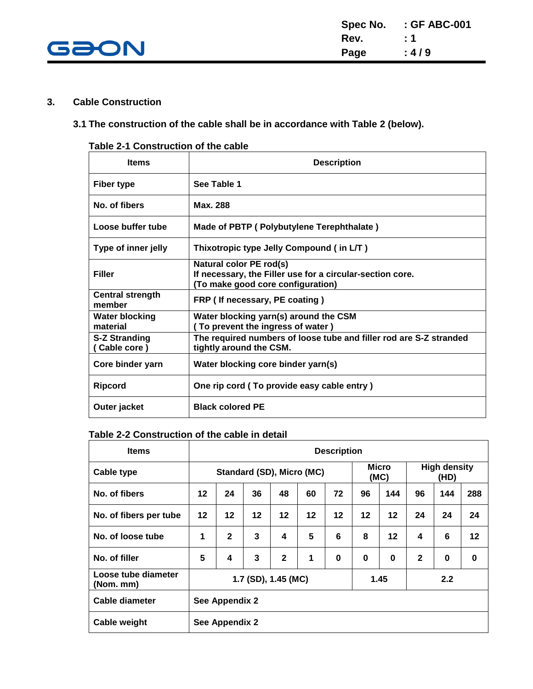

#### **3. Cable Construction**

#### **3.1 The construction of the cable shall be in accordance with Table 2 (below).**

#### **Table 2-1 Construction of the cable**

| <b>Items</b>                         | <b>Description</b>                                                                                                        |
|--------------------------------------|---------------------------------------------------------------------------------------------------------------------------|
| Fiber type                           | See Table 1                                                                                                               |
| No. of fibers                        | Max. 288                                                                                                                  |
| Loose buffer tube                    | Made of PBTP (Polybutylene Terephthalate)                                                                                 |
| Type of inner jelly                  | Thixotropic type Jelly Compound (in L/T)                                                                                  |
| <b>Filler</b>                        | Natural color PE rod(s)<br>If necessary, the Filler use for a circular-section core.<br>(To make good core configuration) |
| <b>Central strength</b><br>member    | FRP (If necessary, PE coating)                                                                                            |
| <b>Water blocking</b><br>material    | Water blocking yarn(s) around the CSM<br>(To prevent the ingress of water)                                                |
| <b>S-Z Stranding</b><br>(Cable core) | The required numbers of loose tube and filler rod are S-Z stranded<br>tightly around the CSM.                             |
| Core binder yarn                     | Water blocking core binder yarn(s)                                                                                        |
| <b>Ripcord</b>                       | One rip cord (To provide easy cable entry)                                                                                |
| Outer jacket                         | <b>Black colored PE</b>                                                                                                   |

#### **Table 2-2 Construction of the cable in detail**

| <b>Items</b>                          | <b>Description</b>          |              |    |              |                           |          |          |               |                             |     |     |
|---------------------------------------|-----------------------------|--------------|----|--------------|---------------------------|----------|----------|---------------|-----------------------------|-----|-----|
| <b>Cable type</b>                     |                             |              |    |              | Standard (SD), Micro (MC) |          |          | Micro<br>(MC) | <b>High density</b><br>(HD) |     |     |
| No. of fibers                         | 12                          | 24           | 36 | 48           | 60                        | 72       | 96       | 144           | 96                          | 144 | 288 |
| No. of fibers per tube                | $12 \,$                     | $12 \,$      | 12 | 12           | 12                        | 12       | 12       | 12            | 24                          | 24  | 24  |
| No. of loose tube                     | 1                           | $\mathbf{2}$ | 3  | 4            | 5                         | 6        | 8        | 12            | 4                           | 6   | 12  |
| No. of filler                         | 5                           | 4            | 3  | $\mathbf{2}$ | 1                         | $\bf{0}$ | $\bf{0}$ | 0             | $\mathbf{2}$                | 0   | 0   |
| Loose tube diameter<br>$(Nom.$ mm $)$ | 1.45<br>1.7 (SD), 1.45 (MC) |              |    | 2.2          |                           |          |          |               |                             |     |     |
| Cable diameter                        | See Appendix 2              |              |    |              |                           |          |          |               |                             |     |     |
| <b>Cable weight</b>                   | See Appendix 2              |              |    |              |                           |          |          |               |                             |     |     |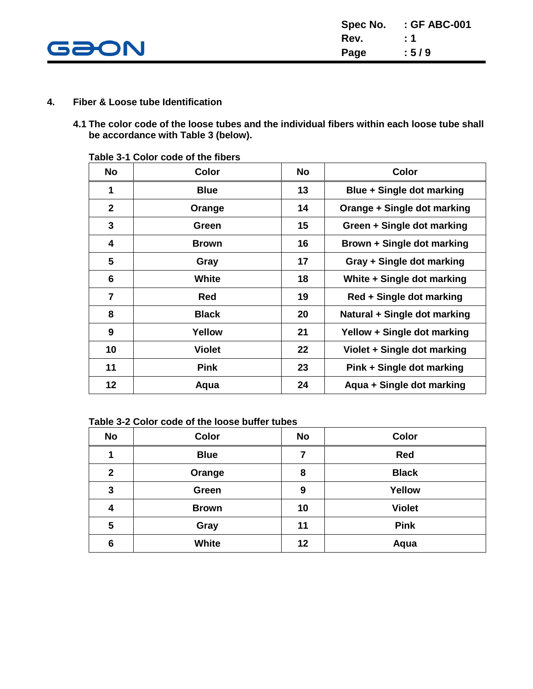

- **4. Fiber & Loose tube Identification**
	- **4.1 The color code of the loose tubes and the individual fibers within each loose tube shall be accordance with Table 3 (below).**

| <b>No</b>      | <b>Color</b>  | <b>No</b> | <b>Color</b>                 |
|----------------|---------------|-----------|------------------------------|
| 1              | <b>Blue</b>   | 13        | Blue + Single dot marking    |
| $\mathbf{2}$   | Orange        | 14        | Orange + Single dot marking  |
| 3              | Green         | 15        | Green + Single dot marking   |
| 4              | <b>Brown</b>  | 16        | Brown + Single dot marking   |
| 5              | Gray          | 17        | Gray + Single dot marking    |
| 6              | <b>White</b>  | 18        | White + Single dot marking   |
| $\overline{7}$ | <b>Red</b>    | 19        | Red + Single dot marking     |
| 8              | <b>Black</b>  | 20        | Natural + Single dot marking |
| 9              | Yellow        | 21        | Yellow + Single dot marking  |
| 10             | <b>Violet</b> | 22        | Violet + Single dot marking  |
| 11             | <b>Pink</b>   | 23        | Pink + Single dot marking    |
| 12             | Aqua          | 24        | Aqua + Single dot marking    |

**Table 3-1 Color code of the fibers**

| Table 3-2 Color code of the loose buffer tubes |
|------------------------------------------------|
|------------------------------------------------|

| <b>No</b>    | <b>Color</b> | <b>No</b> | <b>Color</b>  |
|--------------|--------------|-----------|---------------|
|              | <b>Blue</b>  | 7         | <b>Red</b>    |
| $\mathbf{2}$ | Orange       | 8         | <b>Black</b>  |
| 3            | Green        | 9         | Yellow        |
| 4            | <b>Brown</b> | 10        | <b>Violet</b> |
| 5            | Gray         | 11        | <b>Pink</b>   |
| 6            | White        | 12        | Aqua          |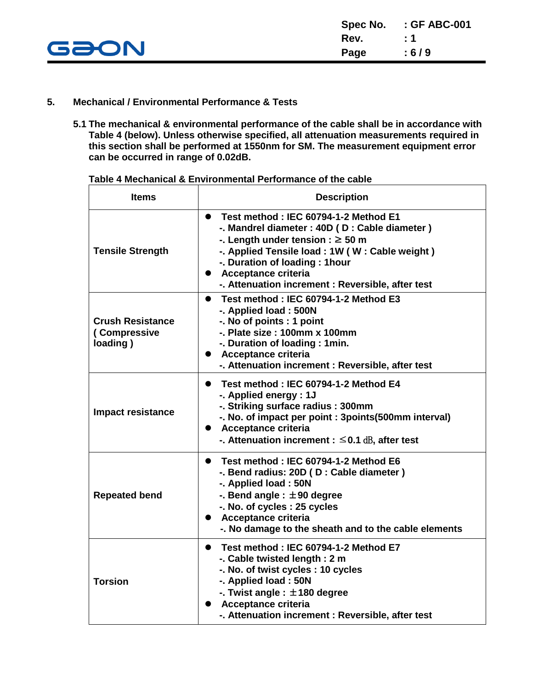

#### **5. Mechanical / Environmental Performance & Tests**

**5.1 The mechanical & environmental performance of the cable shall be in accordance with Table 4 (below). Unless otherwise specified, all attenuation measurements required in this section shall be performed at 1550nm for SM. The measurement equipment error can be occurred in range of 0.02dB.**

| <b>Items</b>                                        | <b>Description</b>                                                                                                                                                                                                                                                                                                               |
|-----------------------------------------------------|----------------------------------------------------------------------------------------------------------------------------------------------------------------------------------------------------------------------------------------------------------------------------------------------------------------------------------|
| <b>Tensile Strength</b>                             | Test method: IEC 60794-1-2 Method E1<br>$\bullet$<br>-. Mandrel diameter : 40D (D : Cable diameter)<br>-. Length under tension : $\geq$ 50 m<br>-. Applied Tensile load : 1W (W: Cable weight)<br>-. Duration of loading: 1 hour<br><b>Acceptance criteria</b><br>$\bullet$<br>-. Attenuation increment : Reversible, after test |
| <b>Crush Resistance</b><br>(Compressive<br>loading) | Test method: IEC 60794-1-2 Method E3<br>$\bullet$<br>-. Applied load: 500N<br>-. No of points : 1 point<br>-. Plate size: 100mm x 100mm<br>-. Duration of loading: 1 min.<br><b>Acceptance criteria</b><br>-. Attenuation increment : Reversible, after test                                                                     |
| Impact resistance                                   | Test method: IEC 60794-1-2 Method E4<br>$\bullet$<br>-. Applied energy : 1J<br>-. Striking surface radius: 300mm<br>-. No. of impact per point : 3points(500mm interval)<br>• Acceptance criteria<br>-. Attenuation increment : $\leq$ 0.1 dB, after test                                                                        |
| <b>Repeated bend</b>                                | Test method: IEC 60794-1-2 Method E6<br>$\bullet$<br>-. Bend radius: 20D (D : Cable diameter)<br>-. Applied load: 50N<br>-. Bend angle : $\pm 90$ degree<br>-. No. of cycles: 25 cycles<br>Acceptance criteria<br>-. No damage to the sheath and to the cable elements                                                           |
| <b>Torsion</b>                                      | Test method: IEC 60794-1-2 Method E7<br>$\bullet$<br>-. Cable twisted length: 2 m<br>-. No. of twist cycles: 10 cycles<br>-. Applied load: 50N<br>-. Twist angle: $\pm$ 180 degree<br>Acceptance criteria<br>-. Attenuation increment : Reversible, after test                                                                   |

**Table 4 Mechanical & Environmental Performance of the cable**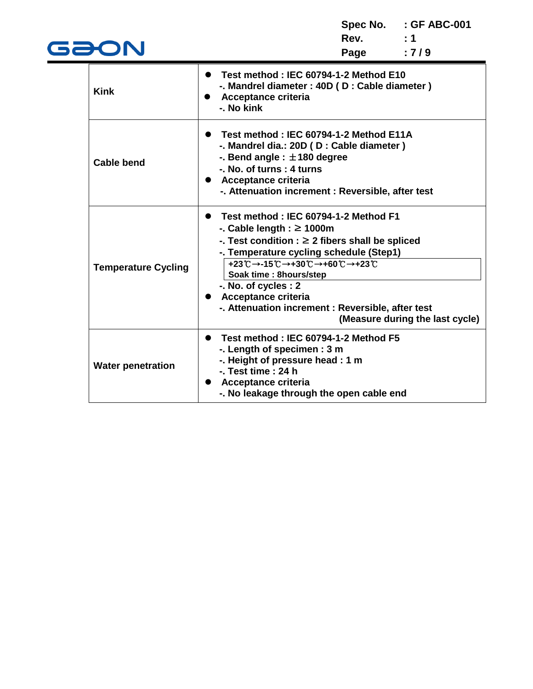**Spec No. : GF ABC-001 Rev.** : 1<br>**Page** : 7/9 **Page : 7 / 9**

|                            | Test method: IEC 60794-1-2 Method E10                |
|----------------------------|------------------------------------------------------|
| <b>Kink</b>                | -. Mandrel diameter : 40D (D : Cable diameter)       |
|                            | Acceptance criteria                                  |
|                            | -. No kink                                           |
|                            | Test method: IEC 60794-1-2 Method E11A<br>$\bullet$  |
|                            | -. Mandrel dia.: 20D (D : Cable diameter)            |
|                            | -. Bend angle : $\pm$ 180 degree                     |
| <b>Cable bend</b>          | -. No. of turns: 4 turns                             |
|                            | • Acceptance criteria                                |
|                            | -. Attenuation increment : Reversible, after test    |
|                            |                                                      |
|                            | • Test method: IEC 60794-1-2 Method F1               |
|                            | -. Cable length : $\geq$ 1000m                       |
|                            | -. Test condition : $\geq 2$ fibers shall be spliced |
|                            | -. Temperature cycling schedule (Step1)              |
| <b>Temperature Cycling</b> | +23℃→-15℃→+30℃→+60℃→+23℃                             |
|                            | Soak time : 8hours/step                              |
|                            | -. No. of cycles : 2                                 |
|                            | • Acceptance criteria                                |
|                            | -. Attenuation increment : Reversible, after test    |
|                            | (Measure during the last cycle)                      |
|                            | Test method: IEC 60794-1-2 Method F5                 |
|                            | -. Length of specimen : 3 m                          |
| <b>Water penetration</b>   | -. Height of pressure head : 1 m                     |
|                            | $-$ . Test time : 24 h                               |
|                            | Acceptance criteria<br>$\bullet$                     |
|                            | -. No leakage through the open cable end             |

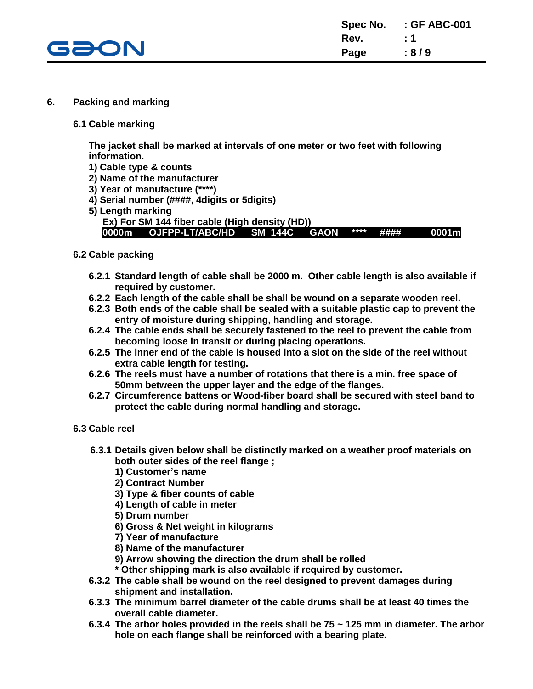

#### **6. Packing and marking**

#### **6.1 Cable marking**

**The jacket shall be marked at intervals of one meter or two feet with following information.**

- **1) Cable type & counts**
- **2) Name of the manufacturer**
- **3) Year of manufacture (\*\*\*\*)**
- **4) Serial number (####, 4digits or 5digits)**
- **5) Length marking**
	- **Ex) For SM 144 fiber cable (High density (HD))**

**0000m OJFPP-LT/ABC/HD SM 144C GAON \*\*\*\* #### 0001m**

#### **6.2 Cable packing**

- **6.2.1 Standard length of cable shall be 2000 m. Other cable length is also available if required by customer.**
- **6.2.2 Each length of the cable shall be shall be wound on a separate wooden reel.**
- **6.2.3 Both ends of the cable shall be sealed with a suitable plastic cap to prevent the entry of moisture during shipping, handling and storage.**
- **6.2.4 The cable ends shall be securely fastened to the reel to prevent the cable from becoming loose in transit or during placing operations.**
- **6.2.5 The inner end of the cable is housed into a slot on the side of the reel without extra cable length for testing.**
- **6.2.6 The reels must have a number of rotations that there is a min. free space of 50mm between the upper layer and the edge of the flanges.**
- **6.2.7 Circumference battens or Wood-fiber board shall be secured with steel band to protect the cable during normal handling and storage.**

#### **6.3 Cable reel**

- **6.3.1 Details given below shall be distinctly marked on a weather proof materials on both outer sides of the reel flange ;**
	- **1) Customer's name**
	- **2) Contract Number**
	- **3) Type & fiber counts of cable**
	- **4) Length of cable in meter**
	- **5) Drum number**
	- **6) Gross & Net weight in kilograms**
	- **7) Year of manufacture**
	- **8) Name of the manufacturer**
	- **9) Arrow showing the direction the drum shall be rolled**
	- **\* Other shipping mark is also available if required by customer.**
- **6.3.2 The cable shall be wound on the reel designed to prevent damages during shipment and installation.**
- **6.3.3 The minimum barrel diameter of the cable drums shall be at least 40 times the overall cable diameter.**
- **6.3.4 The arbor holes provided in the reels shall be 75 ~ 125 mm in diameter. The arbor hole on each flange shall be reinforced with a bearing plate.**